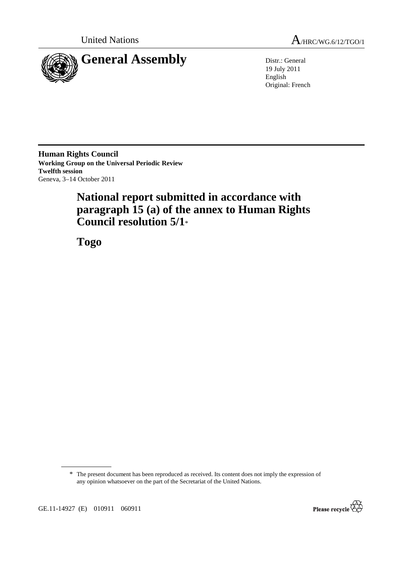



19 July 2011 English Original: French

**Human Rights Council Working Group on the Universal Periodic Review Twelfth session**  Geneva, 3–14 October 2011

# **National report submitted in accordance with paragraph 15 (a) of the annex to Human Rights Council resolution 5/1**\*

 **Togo** 

<sup>\*</sup> The present document has been reproduced as received. Its content does not imply the expression of any opinion whatsoever on the part of the Secretariat of the United Nations.



GE.11-14927 (E) 010911 060911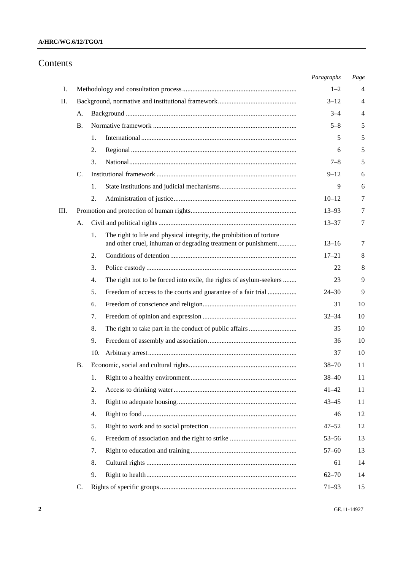# **A/HRC/WG.6/12/TGO/1**

# Contents

|    |    |                                                                            | Paragraphs | Page |
|----|----|----------------------------------------------------------------------------|------------|------|
| Ι. |    |                                                                            | $1 - 2$    | 4    |
| П. |    |                                                                            | $3 - 12$   | 4    |
|    | A. |                                                                            | $3 - 4$    | 4    |
|    | В. |                                                                            | $5 - 8$    | 5    |
|    |    | 1.                                                                         | 5          | 5    |
|    |    | 2.                                                                         | 6          | 5    |
|    |    | 3.                                                                         | $7 - 8$    | 5    |
|    | C. |                                                                            | $9 - 12$   | 6    |
|    |    | 1.                                                                         | 9          | 6    |
|    |    | 2.                                                                         | $10 - 12$  | 7    |
| Ш. |    |                                                                            | $13 - 93$  | 7    |
|    | А. |                                                                            | $13 - 37$  | 7    |
|    |    | The right to life and physical integrity, the prohibition of torture<br>1. |            |      |
|    |    | and other cruel, inhuman or degrading treatment or punishment              | $13 - 16$  | 7    |
|    |    | 2.                                                                         | $17 - 21$  | 8    |
|    |    | 3.                                                                         | 22         | 8    |
|    |    | The right not to be forced into exile, the rights of asylum-seekers<br>4.  | 23         | 9    |
|    |    | 5.<br>Freedom of access to the courts and guarantee of a fair trial        | $24 - 30$  | 9    |
|    |    | 6.                                                                         | 31         | 10   |
|    |    | 7.                                                                         | $32 - 34$  | 10   |
|    |    | 8.                                                                         | 35         | 10   |
|    |    | 9.                                                                         | 36         | 10   |
|    |    | 10.                                                                        | 37         | 10   |
|    | Β. |                                                                            | $38 - 70$  | 11   |
|    |    | 1.                                                                         | $38 - 40$  | 11   |
|    |    | 2.                                                                         | $41 - 42$  | 11   |
|    |    | 3.                                                                         | $43 - 45$  | 11   |
|    |    | 4.                                                                         | 46         | 12   |
|    |    | 5.                                                                         | $47 - 52$  | 12   |
|    |    | 6.                                                                         | $53 - 56$  | 13   |
|    |    | 7.                                                                         | $57 - 60$  | 13   |
|    |    | 8.                                                                         | 61         | 14   |
|    |    | 9.                                                                         | $62 - 70$  | 14   |
|    | C. |                                                                            | $71 - 93$  | 15   |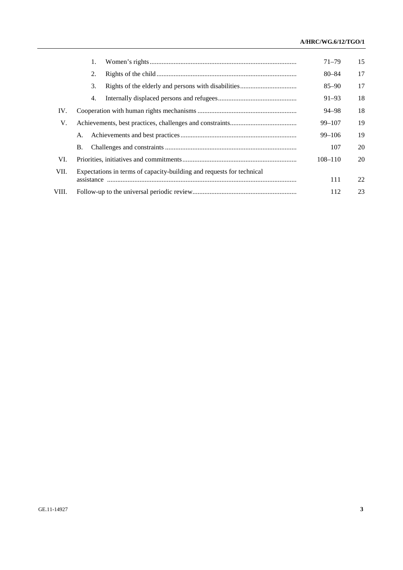# **A/HRC/WG.6/12/TGO/1**

|       | 1.                                                                    | $71 - 79$   | 15 |  |  |
|-------|-----------------------------------------------------------------------|-------------|----|--|--|
|       | 2.                                                                    | $80 - 84$   | 17 |  |  |
|       | 3.                                                                    | $85 - 90$   | 17 |  |  |
|       | 4.                                                                    | 91–93       | 18 |  |  |
| IV.   |                                                                       | 94–98       | 18 |  |  |
| V.    |                                                                       | $99 - 107$  | 19 |  |  |
|       | Α.                                                                    | $99 - 106$  | 19 |  |  |
|       | Β.                                                                    | 107         | 20 |  |  |
| VI.   |                                                                       | $108 - 110$ | 20 |  |  |
| VII.  | Expectations in terms of capacity-building and requests for technical |             |    |  |  |
|       |                                                                       | 111         | 22 |  |  |
| VIII. |                                                                       | 112         | 23 |  |  |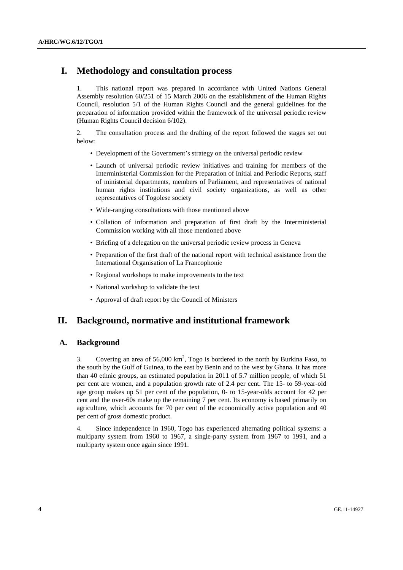# **I. Methodology and consultation process**

1. This national report was prepared in accordance with United Nations General Assembly resolution 60/251 of 15 March 2006 on the establishment of the Human Rights Council, resolution 5/1 of the Human Rights Council and the general guidelines for the preparation of information provided within the framework of the universal periodic review (Human Rights Council decision 6/102).

2. The consultation process and the drafting of the report followed the stages set out below:

- Development of the Government's strategy on the universal periodic review
- Launch of universal periodic review initiatives and training for members of the Interministerial Commission for the Preparation of Initial and Periodic Reports, staff of ministerial departments, members of Parliament, and representatives of national human rights institutions and civil society organizations, as well as other representatives of Togolese society
- Wide-ranging consultations with those mentioned above
- Collation of information and preparation of first draft by the Interministerial Commission working with all those mentioned above
- Briefing of a delegation on the universal periodic review process in Geneva
- Preparation of the first draft of the national report with technical assistance from the International Organisation of La Francophonie
- Regional workshops to make improvements to the text
- National workshop to validate the text
- Approval of draft report by the Council of Ministers

# **II. Background, normative and institutional framework**

# **A. Background**

3. Covering an area of  $56,000 \text{ km}^2$ , Togo is bordered to the north by Burkina Faso, to the south by the Gulf of Guinea, to the east by Benin and to the west by Ghana. It has more than 40 ethnic groups, an estimated population in 2011 of 5.7 million people, of which 51 per cent are women, and a population growth rate of 2.4 per cent. The 15- to 59-year-old age group makes up 51 per cent of the population, 0- to 15-year-olds account for 42 per cent and the over-60s make up the remaining 7 per cent. Its economy is based primarily on agriculture, which accounts for 70 per cent of the economically active population and 40 per cent of gross domestic product.

4. Since independence in 1960, Togo has experienced alternating political systems: a multiparty system from 1960 to 1967, a single-party system from 1967 to 1991, and a multiparty system once again since 1991.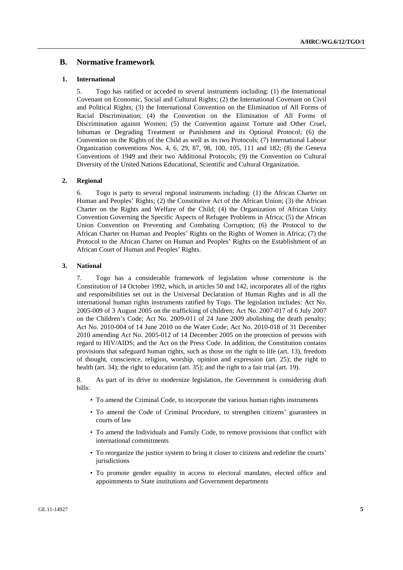# **B. Normative framework**

### **1. International**

5. Togo has ratified or acceded to several instruments including: (1) the International Covenant on Economic, Social and Cultural Rights; (2) the International Covenant on Civil and Political Rights; (3) the International Convention on the Elimination of All Forms of Racial Discrimination; (4) the Convention on the Elimination of All Forms of Discrimination against Women; (5) the Convention against Torture and Other Cruel, Inhuman or Degrading Treatment or Punishment and its Optional Protocol; (6) the Convention on the Rights of the Child as well as its two Protocols; (7) International Labour Organization conventions Nos. 4, 6, 29, 87, 98, 100, 105, 111 and 182; (8) the Geneva Conventions of 1949 and their two Additional Protocols; (9) the Convention on Cultural Diversity of the United Nations Educational, Scientific and Cultural Organization.

#### **2. Regional**

6. Togo is party to several regional instruments including: (1) the African Charter on Human and Peoples' Rights; (2) the Constitutive Act of the African Union; (3) the African Charter on the Rights and Welfare of the Child; (4) the Organization of African Unity Convention Governing the Specific Aspects of Refugee Problems in Africa; (5) the African Union Convention on Preventing and Combating Corruption; (6) the Protocol to the African Charter on Human and Peoples' Rights on the Rights of Women in Africa; (7) the Protocol to the African Charter on Human and Peoples' Rights on the Establishment of an African Court of Human and Peoples' Rights.

#### **3. National**

7. Togo has a considerable framework of legislation whose cornerstone is the Constitution of 14 October 1992, which, in articles 50 and 142, incorporates all of the rights and responsibilities set out in the Universal Declaration of Human Rights and in all the international human rights instruments ratified by Togo. The legislation includes: Act No. 2005-009 of 3 August 2005 on the trafficking of children; Act No. 2007-017 of 6 July 2007 on the Children's Code; Act No. 2009-011 of 24 June 2009 abolishing the death penalty; Act No. 2010-004 of 14 June 2010 on the Water Code; Act No. 2010-018 of 31 December 2010 amending Act No. 2005-012 of 14 December 2005 on the protection of persons with regard to HIV/AIDS; and the Act on the Press Code. In addition, the Constitution contains provisions that safeguard human rights, such as those on the right to life (art. 13), freedom of thought, conscience, religion, worship, opinion and expression (art. 25); the right to health (art. 34); the right to education (art. 35); and the right to a fair trial (art. 19).

8. As part of its drive to modernize legislation, the Government is considering draft bills:

- To amend the Criminal Code, to incorporate the various human rights instruments
- To amend the Code of Criminal Procedure, to strengthen citizens' guarantees in courts of law
- To amend the Individuals and Family Code, to remove provisions that conflict with international commitments
- To reorganize the justice system to bring it closer to citizens and redefine the courts' jurisdictions
- To promote gender equality in access to electoral mandates, elected office and appointments to State institutions and Government departments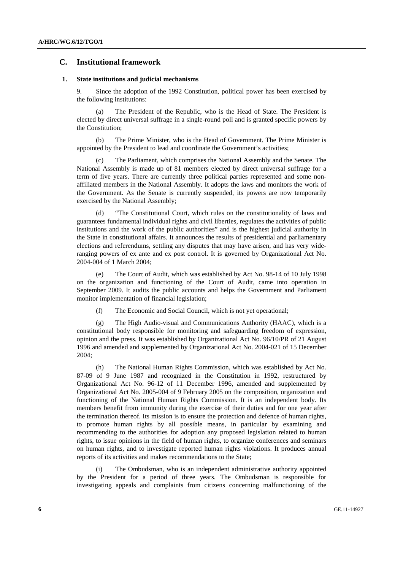# **C. Institutional framework**

### **1. State institutions and judicial mechanisms**

9. Since the adoption of the 1992 Constitution, political power has been exercised by the following institutions:

 (a) The President of the Republic, who is the Head of State. The President is elected by direct universal suffrage in a single-round poll and is granted specific powers by the Constitution;

 (b) The Prime Minister, who is the Head of Government. The Prime Minister is appointed by the President to lead and coordinate the Government's activities;

 (c) The Parliament, which comprises the National Assembly and the Senate. The National Assembly is made up of 81 members elected by direct universal suffrage for a term of five years. There are currently three political parties represented and some nonaffiliated members in the National Assembly. It adopts the laws and monitors the work of the Government. As the Senate is currently suspended, its powers are now temporarily exercised by the National Assembly;

 (d) "The Constitutional Court, which rules on the constitutionality of laws and guarantees fundamental individual rights and civil liberties, regulates the activities of public institutions and the work of the public authorities" and is the highest judicial authority in the State in constitutional affairs. It announces the results of presidential and parliamentary elections and referendums, settling any disputes that may have arisen, and has very wideranging powers of ex ante and ex post control. It is governed by Organizational Act No. 2004-004 of 1 March 2004;

 (e) The Court of Audit, which was established by Act No. 98-14 of 10 July 1998 on the organization and functioning of the Court of Audit, came into operation in September 2009. It audits the public accounts and helps the Government and Parliament monitor implementation of financial legislation;

(f) The Economic and Social Council, which is not yet operational;

 (g) The High Audio-visual and Communications Authority (HAAC), which is a constitutional body responsible for monitoring and safeguarding freedom of expression, opinion and the press. It was established by Organizational Act No. 96/10/PR of 21 August 1996 and amended and supplemented by Organizational Act No. 2004-021 of 15 December 2004;

 (h) The National Human Rights Commission, which was established by Act No. 87-09 of 9 June 1987 and recognized in the Constitution in 1992, restructured by Organizational Act No. 96-12 of 11 December 1996, amended and supplemented by Organizational Act No. 2005-004 of 9 February 2005 on the composition, organization and functioning of the National Human Rights Commission. It is an independent body. Its members benefit from immunity during the exercise of their duties and for one year after the termination thereof. Its mission is to ensure the protection and defence of human rights, to promote human rights by all possible means, in particular by examining and recommending to the authorities for adoption any proposed legislation related to human rights, to issue opinions in the field of human rights, to organize conferences and seminars on human rights, and to investigate reported human rights violations. It produces annual reports of its activities and makes recommendations to the State;

The Ombudsman, who is an independent administrative authority appointed by the President for a period of three years. The Ombudsman is responsible for investigating appeals and complaints from citizens concerning malfunctioning of the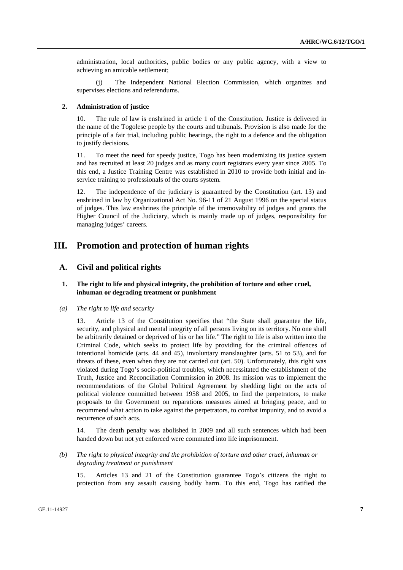administration, local authorities, public bodies or any public agency, with a view to achieving an amicable settlement;

 (j) The Independent National Election Commission, which organizes and supervises elections and referendums.

#### **2. Administration of justice**

10. The rule of law is enshrined in article 1 of the Constitution. Justice is delivered in the name of the Togolese people by the courts and tribunals. Provision is also made for the principle of a fair trial, including public hearings, the right to a defence and the obligation to justify decisions.

11. To meet the need for speedy justice, Togo has been modernizing its justice system and has recruited at least 20 judges and as many court registrars every year since 2005. To this end, a Justice Training Centre was established in 2010 to provide both initial and inservice training to professionals of the courts system.

12. The independence of the judiciary is guaranteed by the Constitution (art. 13) and enshrined in law by Organizational Act No. 96-11 of 21 August 1996 on the special status of judges. This law enshrines the principle of the irremovability of judges and grants the Higher Council of the Judiciary, which is mainly made up of judges, responsibility for managing judges' careers.

# **III. Promotion and protection of human rights**

# **A. Civil and political rights**

# **1. The right to life and physical integrity, the prohibition of torture and other cruel, inhuman or degrading treatment or punishment**

# *(a) The right to life and security*

13. Article 13 of the Constitution specifies that "the State shall guarantee the life, security, and physical and mental integrity of all persons living on its territory. No one shall be arbitrarily detained or deprived of his or her life." The right to life is also written into the Criminal Code, which seeks to protect life by providing for the criminal offences of intentional homicide (arts. 44 and 45), involuntary manslaughter (arts. 51 to 53), and for threats of these, even when they are not carried out (art. 50). Unfortunately, this right was violated during Togo's socio-political troubles, which necessitated the establishment of the Truth, Justice and Reconciliation Commission in 2008. Its mission was to implement the recommendations of the Global Political Agreement by shedding light on the acts of political violence committed between 1958 and 2005, to find the perpetrators, to make proposals to the Government on reparations measures aimed at bringing peace, and to recommend what action to take against the perpetrators, to combat impunity, and to avoid a recurrence of such acts.

14. The death penalty was abolished in 2009 and all such sentences which had been handed down but not yet enforced were commuted into life imprisonment.

 *(b) The right to physical integrity and the prohibition of torture and other cruel, inhuman or degrading treatment or punishment* 

15. Articles 13 and 21 of the Constitution guarantee Togo's citizens the right to protection from any assault causing bodily harm. To this end, Togo has ratified the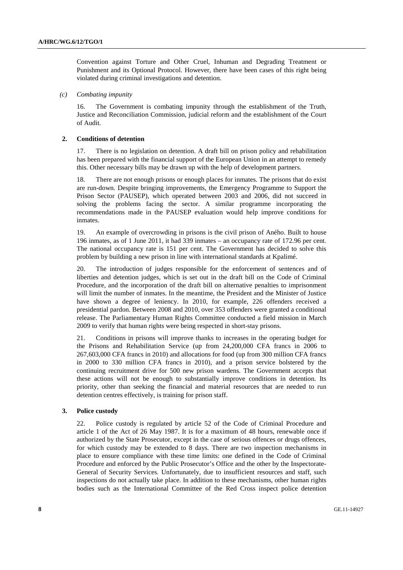Convention against Torture and Other Cruel, Inhuman and Degrading Treatment or Punishment and its Optional Protocol. However, there have been cases of this right being violated during criminal investigations and detention.

### *(c) Combating impunity*

16. The Government is combating impunity through the establishment of the Truth, Justice and Reconciliation Commission, judicial reform and the establishment of the Court of Audit.

# **2. Conditions of detention**

17. There is no legislation on detention. A draft bill on prison policy and rehabilitation has been prepared with the financial support of the European Union in an attempt to remedy this. Other necessary bills may be drawn up with the help of development partners.

18. There are not enough prisons or enough places for inmates. The prisons that do exist are run-down. Despite bringing improvements, the Emergency Programme to Support the Prison Sector (PAUSEP), which operated between 2003 and 2006, did not succeed in solving the problems facing the sector. A similar programme incorporating the recommendations made in the PAUSEP evaluation would help improve conditions for inmates.

19. An example of overcrowding in prisons is the civil prison of Aného. Built to house 196 inmates, as of 1 June 2011, it had 339 inmates – an occupancy rate of 172.96 per cent. The national occupancy rate is 151 per cent. The Government has decided to solve this problem by building a new prison in line with international standards at Kpalimé.

20. The introduction of judges responsible for the enforcement of sentences and of liberties and detention judges, which is set out in the draft bill on the Code of Criminal Procedure, and the incorporation of the draft bill on alternative penalties to imprisonment will limit the number of inmates. In the meantime, the President and the Minister of Justice have shown a degree of leniency. In 2010, for example, 226 offenders received a presidential pardon. Between 2008 and 2010, over 353 offenders were granted a conditional release. The Parliamentary Human Rights Committee conducted a field mission in March 2009 to verify that human rights were being respected in short-stay prisons.

21. Conditions in prisons will improve thanks to increases in the operating budget for the Prisons and Rehabilitation Service (up from 24,200,000 CFA francs in 2006 to 267,603,000 CFA francs in 2010) and allocations for food (up from 300 million CFA francs in 2000 to 330 million CFA francs in 2010), and a prison service bolstered by the continuing recruitment drive for 500 new prison wardens. The Government accepts that these actions will not be enough to substantially improve conditions in detention. Its priority, other than seeking the financial and material resources that are needed to run detention centres effectively, is training for prison staff.

### **3. Police custody**

22. Police custody is regulated by article 52 of the Code of Criminal Procedure and article 1 of the Act of 26 May 1987. It is for a maximum of 48 hours, renewable once if authorized by the State Prosecutor, except in the case of serious offences or drugs offences, for which custody may be extended to 8 days. There are two inspection mechanisms in place to ensure compliance with these time limits: one defined in the Code of Criminal Procedure and enforced by the Public Prosecutor's Office and the other by the Inspectorate-General of Security Services. Unfortunately, due to insufficient resources and staff, such inspections do not actually take place. In addition to these mechanisms, other human rights bodies such as the International Committee of the Red Cross inspect police detention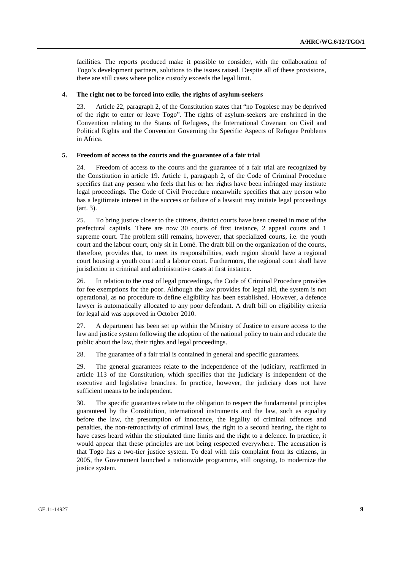facilities. The reports produced make it possible to consider, with the collaboration of Togo's development partners, solutions to the issues raised. Despite all of these provisions, there are still cases where police custody exceeds the legal limit.

# **4. The right not to be forced into exile, the rights of asylum-seekers**

23. Article 22, paragraph 2, of the Constitution states that "no Togolese may be deprived of the right to enter or leave Togo". The rights of asylum-seekers are enshrined in the Convention relating to the Status of Refugees, the International Covenant on Civil and Political Rights and the Convention Governing the Specific Aspects of Refugee Problems in Africa.

#### **5. Freedom of access to the courts and the guarantee of a fair trial**

24. Freedom of access to the courts and the guarantee of a fair trial are recognized by the Constitution in article 19. Article 1, paragraph 2, of the Code of Criminal Procedure specifies that any person who feels that his or her rights have been infringed may institute legal proceedings. The Code of Civil Procedure meanwhile specifies that any person who has a legitimate interest in the success or failure of a lawsuit may initiate legal proceedings (art. 3).

25. To bring justice closer to the citizens, district courts have been created in most of the prefectural capitals. There are now 30 courts of first instance, 2 appeal courts and 1 supreme court. The problem still remains, however, that specialized courts, i.e. the youth court and the labour court, only sit in Lomé. The draft bill on the organization of the courts, therefore, provides that, to meet its responsibilities, each region should have a regional court housing a youth court and a labour court. Furthermore, the regional court shall have jurisdiction in criminal and administrative cases at first instance.

26. In relation to the cost of legal proceedings, the Code of Criminal Procedure provides for fee exemptions for the poor. Although the law provides for legal aid, the system is not operational, as no procedure to define eligibility has been established. However, a defence lawyer is automatically allocated to any poor defendant. A draft bill on eligibility criteria for legal aid was approved in October 2010.

27. A department has been set up within the Ministry of Justice to ensure access to the law and justice system following the adoption of the national policy to train and educate the public about the law, their rights and legal proceedings.

28. The guarantee of a fair trial is contained in general and specific guarantees.

29. The general guarantees relate to the independence of the judiciary, reaffirmed in article 113 of the Constitution, which specifies that the judiciary is independent of the executive and legislative branches. In practice, however, the judiciary does not have sufficient means to be independent.

30. The specific guarantees relate to the obligation to respect the fundamental principles guaranteed by the Constitution, international instruments and the law, such as equality before the law, the presumption of innocence, the legality of criminal offences and penalties, the non-retroactivity of criminal laws, the right to a second hearing, the right to have cases heard within the stipulated time limits and the right to a defence. In practice, it would appear that these principles are not being respected everywhere. The accusation is that Togo has a two-tier justice system. To deal with this complaint from its citizens, in 2005, the Government launched a nationwide programme, still ongoing, to modernize the justice system.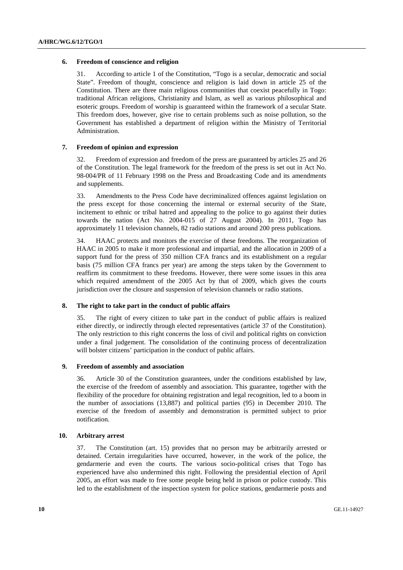### **6. Freedom of conscience and religion**

31. According to article 1 of the Constitution, "Togo is a secular, democratic and social State". Freedom of thought, conscience and religion is laid down in article 25 of the Constitution. There are three main religious communities that coexist peacefully in Togo: traditional African religions, Christianity and Islam, as well as various philosophical and esoteric groups. Freedom of worship is guaranteed within the framework of a secular State. This freedom does, however, give rise to certain problems such as noise pollution, so the Government has established a department of religion within the Ministry of Territorial Administration.

# **7. Freedom of opinion and expression**

32. Freedom of expression and freedom of the press are guaranteed by articles 25 and 26 of the Constitution. The legal framework for the freedom of the press is set out in Act No. 98-004/PR of 11 February 1998 on the Press and Broadcasting Code and its amendments and supplements.

33. Amendments to the Press Code have decriminalized offences against legislation on the press except for those concerning the internal or external security of the State, incitement to ethnic or tribal hatred and appealing to the police to go against their duties towards the nation (Act No. 2004-015 of 27 August 2004). In 2011, Togo has approximately 11 television channels, 82 radio stations and around 200 press publications.

34. HAAC protects and monitors the exercise of these freedoms. The reorganization of HAAC in 2005 to make it more professional and impartial, and the allocation in 2009 of a support fund for the press of 350 million CFA francs and its establishment on a regular basis (75 million CFA francs per year) are among the steps taken by the Government to reaffirm its commitment to these freedoms. However, there were some issues in this area which required amendment of the 2005 Act by that of 2009, which gives the courts jurisdiction over the closure and suspension of television channels or radio stations.

# **8. The right to take part in the conduct of public affairs**

35. The right of every citizen to take part in the conduct of public affairs is realized either directly, or indirectly through elected representatives (article 37 of the Constitution). The only restriction to this right concerns the loss of civil and political rights on conviction under a final judgement. The consolidation of the continuing process of decentralization will bolster citizens' participation in the conduct of public affairs.

### **9. Freedom of assembly and association**

36. Article 30 of the Constitution guarantees, under the conditions established by law, the exercise of the freedom of assembly and association. This guarantee, together with the flexibility of the procedure for obtaining registration and legal recognition, led to a boom in the number of associations (13,887) and political parties (95) in December 2010. The exercise of the freedom of assembly and demonstration is permitted subject to prior notification.

### **10. Arbitrary arrest**

37. The Constitution (art. 15) provides that no person may be arbitrarily arrested or detained. Certain irregularities have occurred, however, in the work of the police, the gendarmerie and even the courts. The various socio-political crises that Togo has experienced have also undermined this right. Following the presidential election of April 2005, an effort was made to free some people being held in prison or police custody. This led to the establishment of the inspection system for police stations, gendarmerie posts and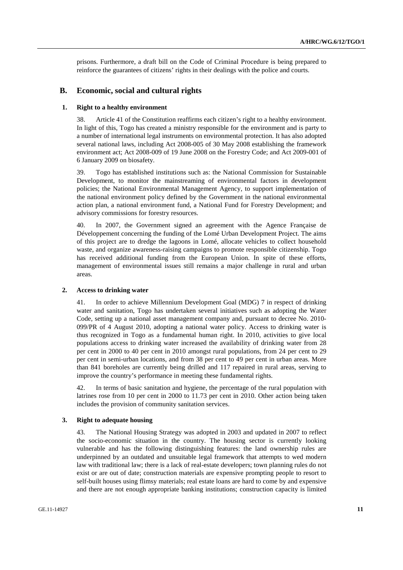prisons. Furthermore, a draft bill on the Code of Criminal Procedure is being prepared to reinforce the guarantees of citizens' rights in their dealings with the police and courts.

# **B. Economic, social and cultural rights**

# **1. Right to a healthy environment**

38. Article 41 of the Constitution reaffirms each citizen's right to a healthy environment. In light of this, Togo has created a ministry responsible for the environment and is party to a number of international legal instruments on environmental protection. It has also adopted several national laws, including Act 2008-005 of 30 May 2008 establishing the framework environment act; Act 2008-009 of 19 June 2008 on the Forestry Code; and Act 2009-001 of 6 January 2009 on biosafety.

39. Togo has established institutions such as: the National Commission for Sustainable Development, to monitor the mainstreaming of environmental factors in development policies; the National Environmental Management Agency, to support implementation of the national environment policy defined by the Government in the national environmental action plan, a national environment fund, a National Fund for Forestry Development; and advisory commissions for forestry resources.

40. In 2007, the Government signed an agreement with the Agence Française de Développement concerning the funding of the Lomé Urban Development Project. The aims of this project are to dredge the lagoons in Lomé, allocate vehicles to collect household waste, and organize awareness-raising campaigns to promote responsible citizenship. Togo has received additional funding from the European Union. In spite of these efforts, management of environmental issues still remains a major challenge in rural and urban areas.

#### **2. Access to drinking water**

41. In order to achieve Millennium Development Goal (MDG) 7 in respect of drinking water and sanitation, Togo has undertaken several initiatives such as adopting the Water Code, setting up a national asset management company and, pursuant to decree No. 2010- 099/PR of 4 August 2010, adopting a national water policy. Access to drinking water is thus recognized in Togo as a fundamental human right. In 2010, activities to give local populations access to drinking water increased the availability of drinking water from 28 per cent in 2000 to 40 per cent in 2010 amongst rural populations, from 24 per cent to 29 per cent in semi-urban locations, and from 38 per cent to 49 per cent in urban areas. More than 841 boreholes are currently being drilled and 117 repaired in rural areas, serving to improve the country's performance in meeting these fundamental rights.

42. In terms of basic sanitation and hygiene, the percentage of the rural population with latrines rose from 10 per cent in 2000 to 11.73 per cent in 2010. Other action being taken includes the provision of community sanitation services.

### **3. Right to adequate housing**

43. The National Housing Strategy was adopted in 2003 and updated in 2007 to reflect the socio-economic situation in the country. The housing sector is currently looking vulnerable and has the following distinguishing features: the land ownership rules are underpinned by an outdated and unsuitable legal framework that attempts to wed modern law with traditional law; there is a lack of real-estate developers; town planning rules do not exist or are out of date; construction materials are expensive prompting people to resort to self-built houses using flimsy materials; real estate loans are hard to come by and expensive and there are not enough appropriate banking institutions; construction capacity is limited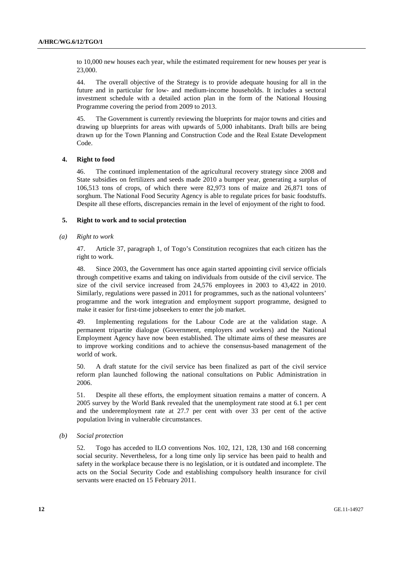to 10,000 new houses each year, while the estimated requirement for new houses per year is 23,000.

44. The overall objective of the Strategy is to provide adequate housing for all in the future and in particular for low- and medium-income households. It includes a sectoral investment schedule with a detailed action plan in the form of the National Housing Programme covering the period from 2009 to 2013.

45. The Government is currently reviewing the blueprints for major towns and cities and drawing up blueprints for areas with upwards of 5,000 inhabitants. Draft bills are being drawn up for the Town Planning and Construction Code and the Real Estate Development Code.

# **4. Right to food**

46. The continued implementation of the agricultural recovery strategy since 2008 and State subsidies on fertilizers and seeds made 2010 a bumper year, generating a surplus of 106,513 tons of crops, of which there were 82,973 tons of maize and 26,871 tons of sorghum. The National Food Security Agency is able to regulate prices for basic foodstuffs. Despite all these efforts, discrepancies remain in the level of enjoyment of the right to food.

### **5. Right to work and to social protection**

## *(a) Right to work*

47. Article 37, paragraph 1, of Togo's Constitution recognizes that each citizen has the right to work.

48. Since 2003, the Government has once again started appointing civil service officials through competitive exams and taking on individuals from outside of the civil service. The size of the civil service increased from 24,576 employees in 2003 to 43,422 in 2010. Similarly, regulations were passed in 2011 for programmes, such as the national volunteers' programme and the work integration and employment support programme, designed to make it easier for first-time jobseekers to enter the job market.

49. Implementing regulations for the Labour Code are at the validation stage. A permanent tripartite dialogue (Government, employers and workers) and the National Employment Agency have now been established. The ultimate aims of these measures are to improve working conditions and to achieve the consensus-based management of the world of work.

50. A draft statute for the civil service has been finalized as part of the civil service reform plan launched following the national consultations on Public Administration in 2006.

51. Despite all these efforts, the employment situation remains a matter of concern. A 2005 survey by the World Bank revealed that the unemployment rate stood at 6.1 per cent and the underemployment rate at 27.7 per cent with over 33 per cent of the active population living in vulnerable circumstances.

### *(b) Social protection*

52. Togo has acceded to ILO conventions Nos. 102, 121, 128, 130 and 168 concerning social security. Nevertheless, for a long time only lip service has been paid to health and safety in the workplace because there is no legislation, or it is outdated and incomplete. The acts on the Social Security Code and establishing compulsory health insurance for civil servants were enacted on 15 February 2011.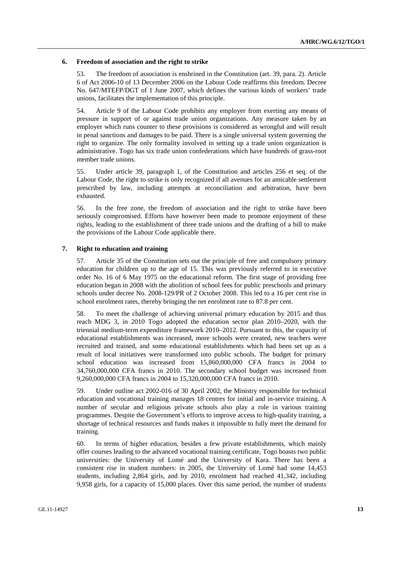#### **6. Freedom of association and the right to strike**

53. The freedom of association is enshrined in the Constitution (art. 39, para. 2). Article 6 of Act 2006-10 of 13 December 2006 on the Labour Code reaffirms this freedom. Decree No. 647/MTEFP/DGT of 1 June 2007, which defines the various kinds of workers' trade unions, facilitates the implementation of this principle.

54. Article 9 of the Labour Code prohibits any employer from exerting any means of pressure in support of or against trade union organizations. Any measure taken by an employer which runs counter to these provisions is considered as wrongful and will result in penal sanctions and damages to be paid. There is a single universal system governing the right to organize. The only formality involved in setting up a trade union organization is administrative. Togo has six trade union confederations which have hundreds of grass-root member trade unions.

55. Under article 39, paragraph 1, of the Constitution and articles 256 et seq. of the Labour Code, the right to strike is only recognized if all avenues for an amicable settlement prescribed by law, including attempts at reconciliation and arbitration, have been exhausted.

56. In the free zone, the freedom of association and the right to strike have been seriously compromised. Efforts have however been made to promote enjoyment of these rights, leading to the establishment of three trade unions and the drafting of a bill to make the provisions of the Labour Code applicable there.

### **7. Right to education and training**

57. Article 35 of the Constitution sets out the principle of free and compulsory primary education for children up to the age of 15. This was previously referred to in executive order No. 16 of 6 May 1975 on the educational reform. The first stage of providing free education began in 2008 with the abolition of school fees for public preschools and primary schools under decree No. 2008-129/PR of 2 October 2008. This led to a 16 per cent rise in school enrolment rates, thereby bringing the net enrolment rate to 87.8 per cent.

58. To meet the challenge of achieving universal primary education by 2015 and thus reach MDG 3, in 2010 Togo adopted the education sector plan 2010–2020, with the triennial medium-term expenditure framework 2010–2012. Pursuant to this, the capacity of educational establishments was increased, more schools were created, new teachers were recruited and trained, and some educational establishments which had been set up as a result of local initiatives were transformed into public schools. The budget for primary school education was increased from 15,860,000,000 CFA francs in 2004 to 34,760,000,000 CFA francs in 2010. The secondary school budget was increased from 9,260,000,000 CFA francs in 2004 to 15,320,000,000 CFA francs in 2010.

59. Under outline act 2002-016 of 30 April 2002, the Ministry responsible for technical education and vocational training manages 18 centres for initial and in-service training. A number of secular and religious private schools also play a role in various training programmes. Despite the Government's efforts to improve access to high-quality training, a shortage of technical resources and funds makes it impossible to fully meet the demand for training.

60. In terms of higher education, besides a few private establishments, which mainly offer courses leading to the advanced vocational training certificate, Togo boasts two public universities: the University of Lomé and the University of Kara. There has been a consistent rise in student numbers: in 2005, the University of Lomé had some 14,453 students, including 2,864 girls, and by 2010, enrolment had reached 41,342, including 9,958 girls, for a capacity of 15,000 places. Over this same period, the number of students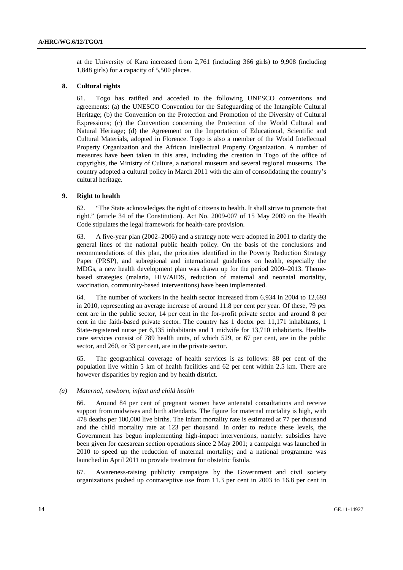at the University of Kara increased from 2,761 (including 366 girls) to 9,908 (including 1,848 girls) for a capacity of 5,500 places.

# **8. Cultural rights**

61. Togo has ratified and acceded to the following UNESCO conventions and agreements: (a) the UNESCO Convention for the Safeguarding of the Intangible Cultural Heritage; (b) the Convention on the Protection and Promotion of the Diversity of Cultural Expressions; (c) the Convention concerning the Protection of the World Cultural and Natural Heritage; (d) the Agreement on the Importation of Educational, Scientific and Cultural Materials, adopted in Florence. Togo is also a member of the World Intellectual Property Organization and the African Intellectual Property Organization. A number of measures have been taken in this area, including the creation in Togo of the office of copyrights, the Ministry of Culture, a national museum and several regional museums. The country adopted a cultural policy in March 2011 with the aim of consolidating the country's cultural heritage.

# **9. Right to health**

62. "The State acknowledges the right of citizens to health. It shall strive to promote that right." (article 34 of the Constitution). Act No. 2009-007 of 15 May 2009 on the Health Code stipulates the legal framework for health-care provision.

63. A five-year plan (2002–2006) and a strategy note were adopted in 2001 to clarify the general lines of the national public health policy. On the basis of the conclusions and recommendations of this plan, the priorities identified in the Poverty Reduction Strategy Paper (PRSP), and subregional and international guidelines on health, especially the MDGs, a new health development plan was drawn up for the period 2009–2013. Themebased strategies (malaria, HIV/AIDS, reduction of maternal and neonatal mortality, vaccination, community-based interventions) have been implemented.

64. The number of workers in the health sector increased from 6,934 in 2004 to 12,693 in 2010, representing an average increase of around 11.8 per cent per year. Of these, 79 per cent are in the public sector, 14 per cent in the for-profit private sector and around 8 per cent in the faith-based private sector. The country has 1 doctor per 11,171 inhabitants, 1 State-registered nurse per 6,135 inhabitants and 1 midwife for 13,710 inhabitants. Healthcare services consist of 789 health units, of which 529, or 67 per cent, are in the public sector, and 260, or 33 per cent, are in the private sector.

65. The geographical coverage of health services is as follows: 88 per cent of the population live within 5 km of health facilities and 62 per cent within 2.5 km. There are however disparities by region and by health district.

### *(a) Maternal, newborn, infant and child health*

66. Around 84 per cent of pregnant women have antenatal consultations and receive support from midwives and birth attendants. The figure for maternal mortality is high, with 478 deaths per 100,000 live births. The infant mortality rate is estimated at 77 per thousand and the child mortality rate at 123 per thousand. In order to reduce these levels, the Government has begun implementing high-impact interventions, namely: subsidies have been given for caesarean section operations since 2 May 2001; a campaign was launched in 2010 to speed up the reduction of maternal mortality; and a national programme was launched in April 2011 to provide treatment for obstetric fistula.

67. Awareness-raising publicity campaigns by the Government and civil society organizations pushed up contraceptive use from 11.3 per cent in 2003 to 16.8 per cent in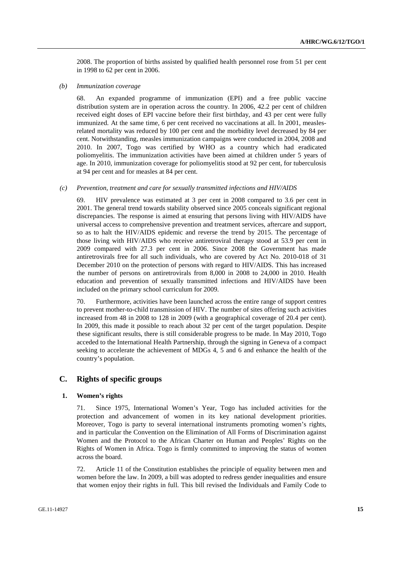2008. The proportion of births assisted by qualified health personnel rose from 51 per cent in 1998 to 62 per cent in 2006.

 *(b) Immunization coverage* 

68. An expanded programme of immunization (EPI) and a free public vaccine distribution system are in operation across the country. In 2006, 42.2 per cent of children received eight doses of EPI vaccine before their first birthday, and 43 per cent were fully immunized. At the same time, 6 per cent received no vaccinations at all. In 2001, measlesrelated mortality was reduced by 100 per cent and the morbidity level decreased by 84 per cent. Notwithstanding, measles immunization campaigns were conducted in 2004, 2008 and 2010. In 2007, Togo was certified by WHO as a country which had eradicated poliomyelitis. The immunization activities have been aimed at children under 5 years of age. In 2010, immunization coverage for poliomyelitis stood at 92 per cent, for tuberculosis at 94 per cent and for measles at 84 per cent.

 *(c) Prevention, treatment and care for sexually transmitted infections and HIV/AIDS* 

69. HIV prevalence was estimated at 3 per cent in 2008 compared to 3.6 per cent in 2001. The general trend towards stability observed since 2005 conceals significant regional discrepancies. The response is aimed at ensuring that persons living with HIV/AIDS have universal access to comprehensive prevention and treatment services, aftercare and support, so as to halt the HIV/AIDS epidemic and reverse the trend by 2015. The percentage of those living with HIV/AIDS who receive antiretroviral therapy stood at 53.9 per cent in 2009 compared with 27.3 per cent in 2006. Since 2008 the Government has made antiretrovirals free for all such individuals, who are covered by Act No. 2010-018 of 31 December 2010 on the protection of persons with regard to HIV/AIDS. This has increased the number of persons on antiretrovirals from 8,000 in 2008 to 24,000 in 2010. Health education and prevention of sexually transmitted infections and HIV/AIDS have been included on the primary school curriculum for 2009.

70. Furthermore, activities have been launched across the entire range of support centres to prevent mother-to-child transmission of HIV. The number of sites offering such activities increased from 48 in 2008 to 128 in 2009 (with a geographical coverage of 20.4 per cent). In 2009, this made it possible to reach about 32 per cent of the target population. Despite these significant results, there is still considerable progress to be made. In May 2010, Togo acceded to the International Health Partnership, through the signing in Geneva of a compact seeking to accelerate the achievement of MDGs 4, 5 and 6 and enhance the health of the country's population.

# **C. Rights of specific groups**

# **1. Women's rights**

71. Since 1975, International Women's Year, Togo has included activities for the protection and advancement of women in its key national development priorities. Moreover, Togo is party to several international instruments promoting women's rights, and in particular the Convention on the Elimination of All Forms of Discrimination against Women and the Protocol to the African Charter on Human and Peoples' Rights on the Rights of Women in Africa. Togo is firmly committed to improving the status of women across the board.

72. Article 11 of the Constitution establishes the principle of equality between men and women before the law. In 2009, a bill was adopted to redress gender inequalities and ensure that women enjoy their rights in full. This bill revised the Individuals and Family Code to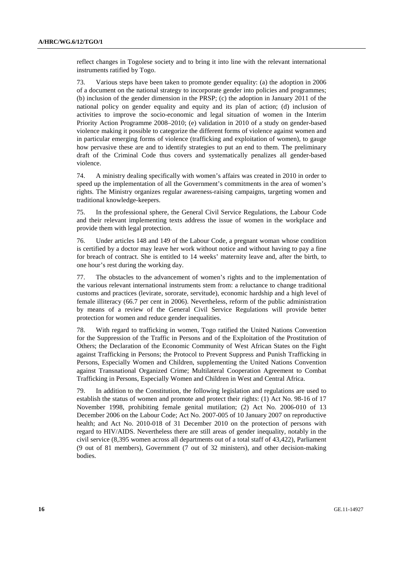reflect changes in Togolese society and to bring it into line with the relevant international instruments ratified by Togo.

73. Various steps have been taken to promote gender equality: (a) the adoption in 2006 of a document on the national strategy to incorporate gender into policies and programmes; (b) inclusion of the gender dimension in the PRSP; (c) the adoption in January 2011 of the national policy on gender equality and equity and its plan of action; (d) inclusion of activities to improve the socio-economic and legal situation of women in the Interim Priority Action Programme 2008–2010; (e) validation in 2010 of a study on gender-based violence making it possible to categorize the different forms of violence against women and in particular emerging forms of violence (trafficking and exploitation of women), to gauge how pervasive these are and to identify strategies to put an end to them. The preliminary draft of the Criminal Code thus covers and systematically penalizes all gender-based violence.

74. A ministry dealing specifically with women's affairs was created in 2010 in order to speed up the implementation of all the Government's commitments in the area of women's rights. The Ministry organizes regular awareness-raising campaigns, targeting women and traditional knowledge-keepers.

75. In the professional sphere, the General Civil Service Regulations, the Labour Code and their relevant implementing texts address the issue of women in the workplace and provide them with legal protection.

76. Under articles 148 and 149 of the Labour Code, a pregnant woman whose condition is certified by a doctor may leave her work without notice and without having to pay a fine for breach of contract. She is entitled to 14 weeks' maternity leave and, after the birth, to one hour's rest during the working day.

77. The obstacles to the advancement of women's rights and to the implementation of the various relevant international instruments stem from: a reluctance to change traditional customs and practices (levirate, sororate, servitude), economic hardship and a high level of female illiteracy (66.7 per cent in 2006). Nevertheless, reform of the public administration by means of a review of the General Civil Service Regulations will provide better protection for women and reduce gender inequalities.

78. With regard to trafficking in women, Togo ratified the United Nations Convention for the Suppression of the Traffic in Persons and of the Exploitation of the Prostitution of Others; the Declaration of the Economic Community of West African States on the Fight against Trafficking in Persons; the Protocol to Prevent Suppress and Punish Trafficking in Persons, Especially Women and Children, supplementing the United Nations Convention against Transnational Organized Crime; Multilateral Cooperation Agreement to Combat Trafficking in Persons, Especially Women and Children in West and Central Africa.

79. In addition to the Constitution, the following legislation and regulations are used to establish the status of women and promote and protect their rights: (1) Act No. 98-16 of 17 November 1998, prohibiting female genital mutilation; (2) Act No. 2006-010 of 13 December 2006 on the Labour Code; Act No. 2007-005 of 10 January 2007 on reproductive health; and Act No. 2010-018 of 31 December 2010 on the protection of persons with regard to HIV/AIDS. Nevertheless there are still areas of gender inequality, notably in the civil service (8,395 women across all departments out of a total staff of 43,422), Parliament (9 out of 81 members), Government (7 out of 32 ministers), and other decision-making bodies.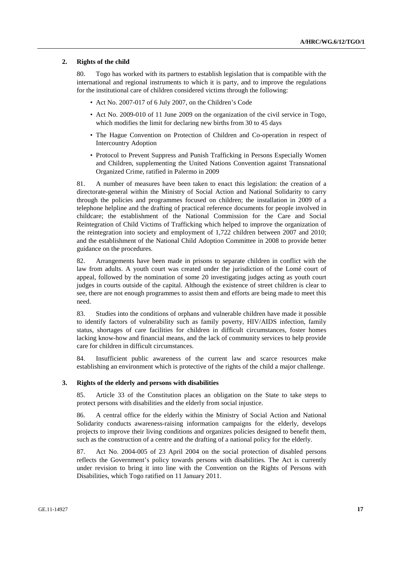### **2. Rights of the child**

80. Togo has worked with its partners to establish legislation that is compatible with the international and regional instruments to which it is party, and to improve the regulations for the institutional care of children considered victims through the following:

- Act No. 2007-017 of 6 July 2007, on the Children's Code
- Act No. 2009-010 of 11 June 2009 on the organization of the civil service in Togo, which modifies the limit for declaring new births from 30 to 45 days
- The Hague Convention on Protection of Children and Co-operation in respect of Intercountry Adoption
- Protocol to Prevent Suppress and Punish Trafficking in Persons Especially Women and Children, supplementing the United Nations Convention against Transnational Organized Crime, ratified in Palermo in 2009

81. A number of measures have been taken to enact this legislation: the creation of a directorate-general within the Ministry of Social Action and National Solidarity to carry through the policies and programmes focused on children; the installation in 2009 of a telephone helpline and the drafting of practical reference documents for people involved in childcare; the establishment of the National Commission for the Care and Social Reintegration of Child Victims of Trafficking which helped to improve the organization of the reintegration into society and employment of 1,722 children between 2007 and 2010; and the establishment of the National Child Adoption Committee in 2008 to provide better guidance on the procedures.

82. Arrangements have been made in prisons to separate children in conflict with the law from adults. A youth court was created under the jurisdiction of the Lomé court of appeal, followed by the nomination of some 20 investigating judges acting as youth court judges in courts outside of the capital. Although the existence of street children is clear to see, there are not enough programmes to assist them and efforts are being made to meet this need.

83. Studies into the conditions of orphans and vulnerable children have made it possible to identify factors of vulnerability such as family poverty, HIV/AIDS infection, family status, shortages of care facilities for children in difficult circumstances, foster homes lacking know-how and financial means, and the lack of community services to help provide care for children in difficult circumstances.

84. Insufficient public awareness of the current law and scarce resources make establishing an environment which is protective of the rights of the child a major challenge.

### **3. Rights of the elderly and persons with disabilities**

85. Article 33 of the Constitution places an obligation on the State to take steps to protect persons with disabilities and the elderly from social injustice.

86. A central office for the elderly within the Ministry of Social Action and National Solidarity conducts awareness-raising information campaigns for the elderly, develops projects to improve their living conditions and organizes policies designed to benefit them, such as the construction of a centre and the drafting of a national policy for the elderly.

87. Act No. 2004-005 of 23 April 2004 on the social protection of disabled persons reflects the Government's policy towards persons with disabilities. The Act is currently under revision to bring it into line with the Convention on the Rights of Persons with Disabilities, which Togo ratified on 11 January 2011.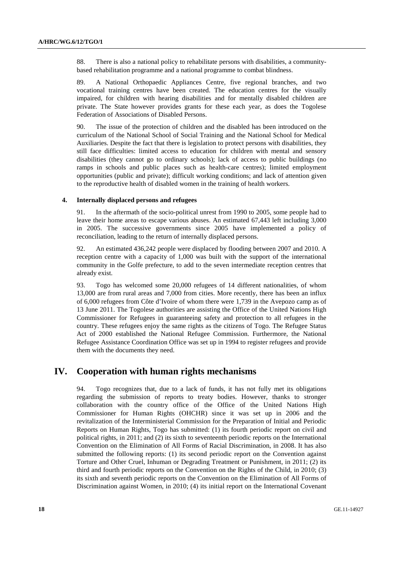88. There is also a national policy to rehabilitate persons with disabilities, a communitybased rehabilitation programme and a national programme to combat blindness.

89. A National Orthopaedic Appliances Centre, five regional branches, and two vocational training centres have been created. The education centres for the visually impaired, for children with hearing disabilities and for mentally disabled children are private. The State however provides grants for these each year, as does the Togolese Federation of Associations of Disabled Persons.

90. The issue of the protection of children and the disabled has been introduced on the curriculum of the National School of Social Training and the National School for Medical Auxiliaries. Despite the fact that there is legislation to protect persons with disabilities, they still face difficulties: limited access to education for children with mental and sensory disabilities (they cannot go to ordinary schools); lack of access to public buildings (no ramps in schools and public places such as health-care centres); limited employment opportunities (public and private); difficult working conditions; and lack of attention given to the reproductive health of disabled women in the training of health workers.

#### **4. Internally displaced persons and refugees**

91. In the aftermath of the socio-political unrest from 1990 to 2005, some people had to leave their home areas to escape various abuses. An estimated 67,443 left including 3,000 in 2005. The successive governments since 2005 have implemented a policy of reconciliation, leading to the return of internally displaced persons.

92. An estimated 436,242 people were displaced by flooding between 2007 and 2010. A reception centre with a capacity of 1,000 was built with the support of the international community in the Golfe prefecture, to add to the seven intermediate reception centres that already exist.

93. Togo has welcomed some 20,000 refugees of 14 different nationalities, of whom 13,000 are from rural areas and 7,000 from cities. More recently, there has been an influx of 6,000 refugees from Côte d'Ivoire of whom there were 1,739 in the Avepozo camp as of 13 June 2011. The Togolese authorities are assisting the Office of the United Nations High Commissioner for Refugees in guaranteeing safety and protection to all refugees in the country. These refugees enjoy the same rights as the citizens of Togo. The Refugee Status Act of 2000 established the National Refugee Commission. Furthermore, the National Refugee Assistance Coordination Office was set up in 1994 to register refugees and provide them with the documents they need.

# **IV. Cooperation with human rights mechanisms**

94. Togo recognizes that, due to a lack of funds, it has not fully met its obligations regarding the submission of reports to treaty bodies. However, thanks to stronger collaboration with the country office of the Office of the United Nations High Commissioner for Human Rights (OHCHR) since it was set up in 2006 and the revitalization of the Interministerial Commission for the Preparation of Initial and Periodic Reports on Human Rights, Togo has submitted: (1) its fourth periodic report on civil and political rights, in 2011; and (2) its sixth to seventeenth periodic reports on the International Convention on the Elimination of All Forms of Racial Discrimination, in 2008. It has also submitted the following reports: (1) its second periodic report on the Convention against Torture and Other Cruel, Inhuman or Degrading Treatment or Punishment, in 2011; (2) its third and fourth periodic reports on the Convention on the Rights of the Child, in 2010; (3) its sixth and seventh periodic reports on the Convention on the Elimination of All Forms of Discrimination against Women, in 2010; (4) its initial report on the International Covenant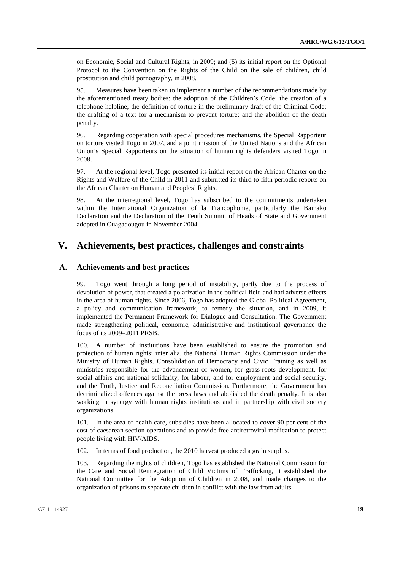on Economic, Social and Cultural Rights, in 2009; and (5) its initial report on the Optional Protocol to the Convention on the Rights of the Child on the sale of children, child prostitution and child pornography, in 2008.

95. Measures have been taken to implement a number of the recommendations made by the aforementioned treaty bodies: the adoption of the Children's Code; the creation of a telephone helpline; the definition of torture in the preliminary draft of the Criminal Code; the drafting of a text for a mechanism to prevent torture; and the abolition of the death penalty.

96. Regarding cooperation with special procedures mechanisms, the Special Rapporteur on torture visited Togo in 2007, and a joint mission of the United Nations and the African Union's Special Rapporteurs on the situation of human rights defenders visited Togo in 2008.

97. At the regional level, Togo presented its initial report on the African Charter on the Rights and Welfare of the Child in 2011 and submitted its third to fifth periodic reports on the African Charter on Human and Peoples' Rights.

98. At the interregional level, Togo has subscribed to the commitments undertaken within the International Organization of la Francophonie, particularly the Bamako Declaration and the Declaration of the Tenth Summit of Heads of State and Government adopted in Ouagadougou in November 2004.

# **V. Achievements, best practices, challenges and constraints**

# **A. Achievements and best practices**

99. Togo went through a long period of instability, partly due to the process of devolution of power, that created a polarization in the political field and had adverse effects in the area of human rights. Since 2006, Togo has adopted the Global Political Agreement, a policy and communication framework, to remedy the situation, and in 2009, it implemented the Permanent Framework for Dialogue and Consultation. The Government made strengthening political, economic, administrative and institutional governance the focus of its 2009–2011 PRSB.

100. A number of institutions have been established to ensure the promotion and protection of human rights: inter alia, the National Human Rights Commission under the Ministry of Human Rights, Consolidation of Democracy and Civic Training as well as ministries responsible for the advancement of women, for grass-roots development, for social affairs and national solidarity, for labour, and for employment and social security, and the Truth, Justice and Reconciliation Commission. Furthermore, the Government has decriminalized offences against the press laws and abolished the death penalty. It is also working in synergy with human rights institutions and in partnership with civil society organizations.

101. In the area of health care, subsidies have been allocated to cover 90 per cent of the cost of caesarean section operations and to provide free antiretroviral medication to protect people living with HIV/AIDS.

102. In terms of food production, the 2010 harvest produced a grain surplus.

103. Regarding the rights of children, Togo has established the National Commission for the Care and Social Reintegration of Child Victims of Trafficking, it established the National Committee for the Adoption of Children in 2008, and made changes to the organization of prisons to separate children in conflict with the law from adults.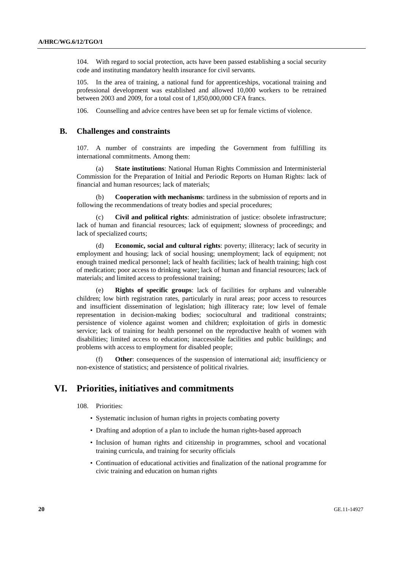104. With regard to social protection, acts have been passed establishing a social security code and instituting mandatory health insurance for civil servants.

105. In the area of training, a national fund for apprenticeships, vocational training and professional development was established and allowed 10,000 workers to be retrained between 2003 and 2009, for a total cost of 1,850,000,000 CFA francs.

106. Counselling and advice centres have been set up for female victims of violence.

# **B. Challenges and constraints**

107. A number of constraints are impeding the Government from fulfilling its international commitments. Among them:

 (a) **State institutions**: National Human Rights Commission and Interministerial Commission for the Preparation of Initial and Periodic Reports on Human Rights: lack of financial and human resources; lack of materials;

**Cooperation with mechanisms**: tardiness in the submission of reports and in following the recommendations of treaty bodies and special procedures;

 (c) **Civil and political rights**: administration of justice: obsolete infrastructure; lack of human and financial resources; lack of equipment; slowness of proceedings; and lack of specialized courts;

 (d) **Economic, social and cultural rights**: poverty; illiteracy; lack of security in employment and housing; lack of social housing; unemployment; lack of equipment; not enough trained medical personnel; lack of health facilities; lack of health training; high cost of medication; poor access to drinking water; lack of human and financial resources; lack of materials; and limited access to professional training;

 (e) **Rights of specific groups**: lack of facilities for orphans and vulnerable children; low birth registration rates, particularly in rural areas; poor access to resources and insufficient dissemination of legislation; high illiteracy rate; low level of female representation in decision-making bodies; sociocultural and traditional constraints; persistence of violence against women and children; exploitation of girls in domestic service; lack of training for health personnel on the reproductive health of women with disabilities; limited access to education; inaccessible facilities and public buildings; and problems with access to employment for disabled people;

**Other:** consequences of the suspension of international aid; insufficiency or non-existence of statistics; and persistence of political rivalries.

# **VI. Priorities, initiatives and commitments**

108. Priorities:

- Systematic inclusion of human rights in projects combating poverty
- Drafting and adoption of a plan to include the human rights-based approach
- Inclusion of human rights and citizenship in programmes, school and vocational training curricula, and training for security officials
- Continuation of educational activities and finalization of the national programme for civic training and education on human rights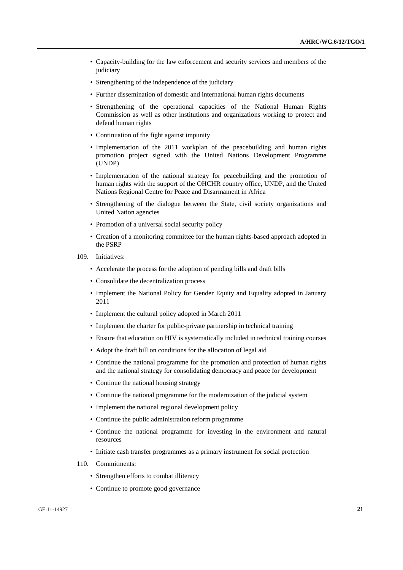- Capacity-building for the law enforcement and security services and members of the judiciary
- Strengthening of the independence of the judiciary
- Further dissemination of domestic and international human rights documents
- Strengthening of the operational capacities of the National Human Rights Commission as well as other institutions and organizations working to protect and defend human rights
- Continuation of the fight against impunity
- Implementation of the 2011 workplan of the peacebuilding and human rights promotion project signed with the United Nations Development Programme (UNDP)
- Implementation of the national strategy for peacebuilding and the promotion of human rights with the support of the OHCHR country office, UNDP, and the United Nations Regional Centre for Peace and Disarmament in Africa
- Strengthening of the dialogue between the State, civil society organizations and United Nation agencies
- Promotion of a universal social security policy
- Creation of a monitoring committee for the human rights-based approach adopted in the PSRP
- 109. Initiatives:
	- Accelerate the process for the adoption of pending bills and draft bills
	- Consolidate the decentralization process
	- Implement the National Policy for Gender Equity and Equality adopted in January 2011
	- Implement the cultural policy adopted in March 2011
	- Implement the charter for public-private partnership in technical training
	- Ensure that education on HIV is systematically included in technical training courses
	- Adopt the draft bill on conditions for the allocation of legal aid
	- Continue the national programme for the promotion and protection of human rights and the national strategy for consolidating democracy and peace for development
	- Continue the national housing strategy
	- Continue the national programme for the modernization of the judicial system
	- Implement the national regional development policy
	- Continue the public administration reform programme
	- Continue the national programme for investing in the environment and natural resources
	- Initiate cash transfer programmes as a primary instrument for social protection
- 110. Commitments:
	- Strengthen efforts to combat illiteracy
	- Continue to promote good governance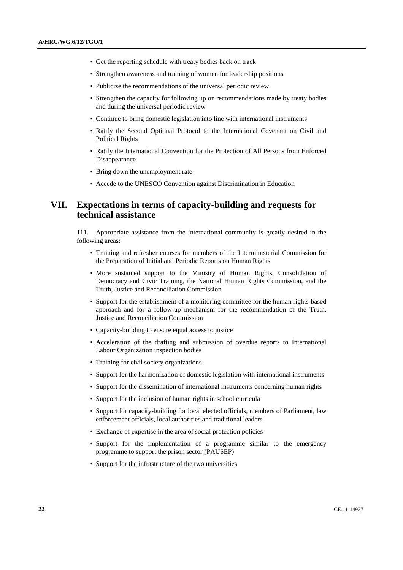- Get the reporting schedule with treaty bodies back on track
- Strengthen awareness and training of women for leadership positions
- Publicize the recommendations of the universal periodic review
- Strengthen the capacity for following up on recommendations made by treaty bodies and during the universal periodic review
- Continue to bring domestic legislation into line with international instruments
- Ratify the Second Optional Protocol to the International Covenant on Civil and Political Rights
- Ratify the International Convention for the Protection of All Persons from Enforced Disappearance
- Bring down the unemployment rate
- Accede to the UNESCO Convention against Discrimination in Education

# **VII. Expectations in terms of capacity-building and requests for technical assistance**

111. Appropriate assistance from the international community is greatly desired in the following areas:

- Training and refresher courses for members of the Interministerial Commission for the Preparation of Initial and Periodic Reports on Human Rights
- More sustained support to the Ministry of Human Rights, Consolidation of Democracy and Civic Training, the National Human Rights Commission, and the Truth, Justice and Reconciliation Commission
- Support for the establishment of a monitoring committee for the human rights-based approach and for a follow-up mechanism for the recommendation of the Truth, Justice and Reconciliation Commission
- Capacity-building to ensure equal access to justice
- Acceleration of the drafting and submission of overdue reports to International Labour Organization inspection bodies
- Training for civil society organizations
- Support for the harmonization of domestic legislation with international instruments
- Support for the dissemination of international instruments concerning human rights
- Support for the inclusion of human rights in school curricula
- Support for capacity-building for local elected officials, members of Parliament, law enforcement officials, local authorities and traditional leaders
- Exchange of expertise in the area of social protection policies
- Support for the implementation of a programme similar to the emergency programme to support the prison sector (PAUSEP)
- Support for the infrastructure of the two universities